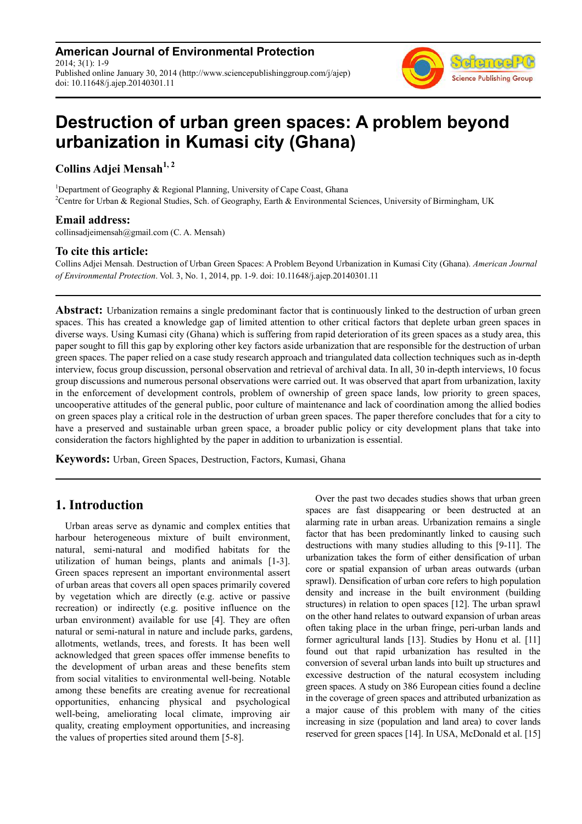**American Journal of Environmental Protection** 2014; 3(1): 1-9 Published online January 30, 2014 (http://www.sciencepublishinggroup.com/j/ajep) doi: 10.11648/j.ajep.20140301.11



# **Destruction of urban green spaces: A problem beyond urbanization in Kumasi city (Ghana)**

**Collins Adjei Mensah1, 2**

<sup>1</sup>Department of Geography & Regional Planning, University of Cape Coast, Ghana <sup>2</sup>Centre for Urban & Regional Studies, Sch. of Geography, Earth & Environmental Sciences, University of Birmingham, UK

#### **Email address:**

collinsadjeimensah@gmail.com (C. A. Mensah)

#### **To cite this article:**

Collins Adjei Mensah. Destruction of Urban Green Spaces: A Problem Beyond Urbanization in Kumasi City (Ghana). *American Journal of Environmental Protection*. Vol. 3, No. 1, 2014, pp. 1-9. doi: 10.11648/j.ajep.20140301.11

**Abstract:** Urbanization remains a single predominant factor that is continuously linked to the destruction of urban green spaces. This has created a knowledge gap of limited attention to other critical factors that deplete urban green spaces in diverse ways. Using Kumasi city (Ghana) which is suffering from rapid deterioration of its green spaces as a study area, this paper sought to fill this gap by exploring other key factors aside urbanization that are responsible for the destruction of urban green spaces. The paper relied on a case study research approach and triangulated data collection techniques such as in-depth interview, focus group discussion, personal observation and retrieval of archival data. In all, 30 in-depth interviews, 10 focus group discussions and numerous personal observations were carried out. It was observed that apart from urbanization, laxity in the enforcement of development controls, problem of ownership of green space lands, low priority to green spaces, uncooperative attitudes of the general public, poor culture of maintenance and lack of coordination among the allied bodies on green spaces play a critical role in the destruction of urban green spaces. The paper therefore concludes that for a city to have a preserved and sustainable urban green space, a broader public policy or city development plans that take into consideration the factors highlighted by the paper in addition to urbanization is essential.

**Keywords:** Urban, Green Spaces, Destruction, Factors, Kumasi, Ghana

# **1. Introduction**

Urban areas serve as dynamic and complex entities that harbour heterogeneous mixture of built environment, natural, semi-natural and modified habitats for the utilization of human beings, plants and animals [1-3]. Green spaces represent an important environmental assert of urban areas that covers all open spaces primarily covered by vegetation which are directly (e.g. active or passive recreation) or indirectly (e.g. positive influence on the urban environment) available for use [4]. They are often natural or semi-natural in nature and include parks, gardens, allotments, wetlands, trees, and forests. It has been well acknowledged that green spaces offer immense benefits to the development of urban areas and these benefits stem from social vitalities to environmental well-being. Notable among these benefits are creating avenue for recreational opportunities, enhancing physical and psychological well-being, ameliorating local climate, improving air quality, creating employment opportunities, and increasing the values of properties sited around them [5-8].

Over the past two decades studies shows that urban green spaces are fast disappearing or been destructed at an alarming rate in urban areas. Urbanization remains a single factor that has been predominantly linked to causing such destructions with many studies alluding to this [9-11]. The urbanization takes the form of either densification of urban core or spatial expansion of urban areas outwards (urban sprawl). Densification of urban core refers to high population density and increase in the built environment (building structures) in relation to open spaces [12]. The urban sprawl on the other hand relates to outward expansion of urban areas often taking place in the urban fringe, peri-urban lands and former agricultural lands [13]. Studies by Honu et al. [11] found out that rapid urbanization has resulted in the conversion of several urban lands into built up structures and excessive destruction of the natural ecosystem including green spaces. A study on 386 European cities found a decline in the coverage of green spaces and attributed urbanization as a major cause of this problem with many of the cities increasing in size (population and land area) to cover lands reserved for green spaces [14]. In USA, McDonald et al. [15]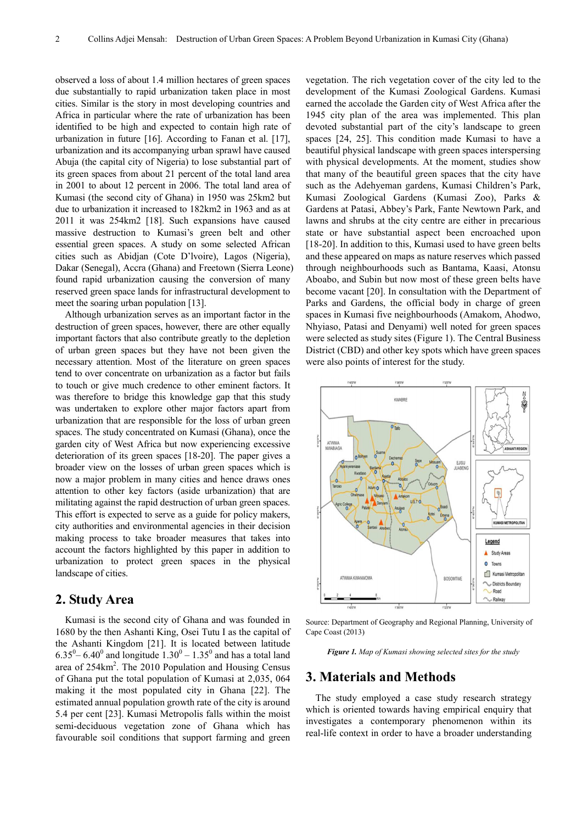observed a loss of about 1.4 million hectares of green spaces due substantially to rapid urbanization taken place in most cities. Similar is the story in most developing countries and Africa in particular where the rate of urbanization has been identified to be high and expected to contain high rate of urbanization in future [16]. According to Fanan et al. [17], urbanization and its accompanying urban sprawl have caused Abuja (the capital city of Nigeria) to lose substantial part of its green spaces from about 21 percent of the total land area in 2001 to about 12 percent in 2006. The total land area of Kumasi (the second city of Ghana) in 1950 was 25km2 but due to urbanization it increased to 182km2 in 1963 and as at 2011 it was 254km2 [18]. Such expansions have caused massive destruction to Kumasi's green belt and other essential green spaces. A study on some selected African cities such as Abidjan (Cote D'lvoire), Lagos (Nigeria), Dakar (Senegal), Accra (Ghana) and Freetown (Sierra Leone) found rapid urbanization causing the conversion of many reserved green space lands for infrastructural development to meet the soaring urban population [13].

Although urbanization serves as an important factor in the destruction of green spaces, however, there are other equally important factors that also contribute greatly to the depletion of urban green spaces but they have not been given the necessary attention. Most of the literature on green spaces tend to over concentrate on urbanization as a factor but fails to touch or give much credence to other eminent factors. It was therefore to bridge this knowledge gap that this study was undertaken to explore other major factors apart from urbanization that are responsible for the loss of urban green spaces. The study concentrated on Kumasi (Ghana), once the garden city of West Africa but now experiencing excessive deterioration of its green spaces [18-20]. The paper gives a broader view on the losses of urban green spaces which is now a major problem in many cities and hence draws ones attention to other key factors (aside urbanization) that are militating against the rapid destruction of urban green spaces. This effort is expected to serve as a guide for policy makers, city authorities and environmental agencies in their decision making process to take broader measures that takes into account the factors highlighted by this paper in addition to urbanization to protect green spaces in the physical landscape of cities.

# **2. Study Area**

Kumasi is the second city of Ghana and was founded in 1680 by the then Ashanti King, Osei Tutu I as the capital of the Ashanti Kingdom [21]. It is located between latitude  $6.35^{0} - 6.40^{0}$  and longitude  $1.30^{0} - 1.35^{0}$  and has a total land area of 254km<sup>2</sup>. The 2010 Population and Housing Census of Ghana put the total population of Kumasi at 2,035, 064 making it the most populated city in Ghana [22]. The estimated annual population growth rate of the city is around 5.4 per cent [23]. Kumasi Metropolis falls within the moist semi-deciduous vegetation zone of Ghana which has favourable soil conditions that support farming and green

vegetation. The rich vegetation cover of the city led to the development of the Kumasi Zoological Gardens. Kumasi earned the accolade the Garden city of West Africa after the 1945 city plan of the area was implemented. This plan devoted substantial part of the city's landscape to green spaces [24, 25]. This condition made Kumasi to have a beautiful physical landscape with green spaces interspersing with physical developments. At the moment, studies show that many of the beautiful green spaces that the city have such as the Adehyeman gardens, Kumasi Children's Park, Kumasi Zoological Gardens (Kumasi Zoo), Parks & Gardens at Patasi, Abbey's Park, Fante Newtown Park, and lawns and shrubs at the city centre are either in precarious state or have substantial aspect been encroached upon [18-20]. In addition to this, Kumasi used to have green belts and these appeared on maps as nature reserves which passed through neighbourhoods such as Bantama, Kaasi, Atonsu Aboabo, and Subin but now most of these green belts have become vacant [20]. In consultation with the Department of Parks and Gardens, the official body in charge of green spaces in Kumasi five neighbourhoods (Amakom, Ahodwo, Nhyiaso, Patasi and Denyami) well noted for green spaces were selected as study sites (Figure 1). The Central Business District (CBD) and other key spots which have green spaces were also points of interest for the study.



Source: Department of Geography and Regional Planning, University of Cape Coast (2013)

*Figure 1. Map of Kumasi showing selected sites for the study* 

#### **3. Materials and Methods**

The study employed a case study research strategy which is oriented towards having empirical enquiry that investigates a contemporary phenomenon within its real-life context in order to have a broader understanding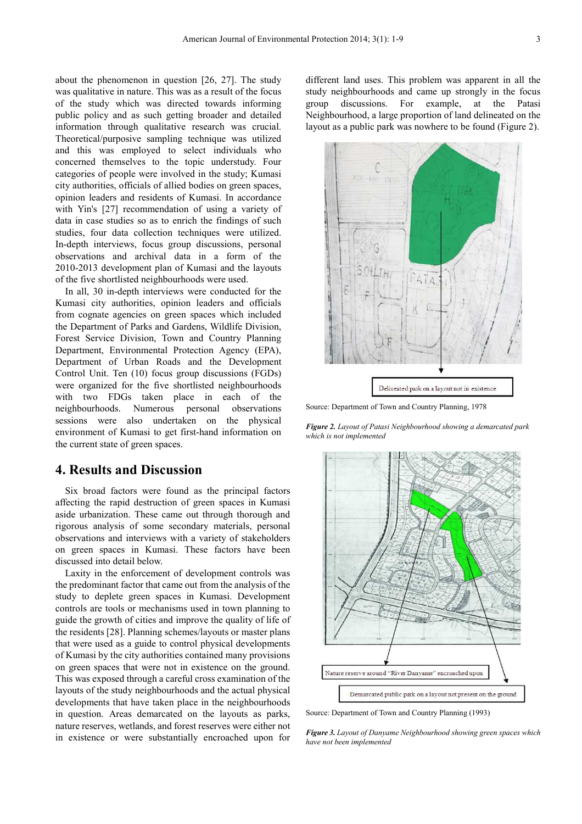about the phenomenon in question [26, 27]. The study was qualitative in nature. This was as a result of the focus of the study which was directed towards informing public policy and as such getting broader and detailed information through qualitative research was crucial. Theoretical/purposive sampling technique was utilized and this was employed to select individuals who concerned themselves to the topic understudy. Four categories of people were involved in the study; Kumasi city authorities, officials of allied bodies on green spaces, opinion leaders and residents of Kumasi. In accordance with Yin's [27] recommendation of using a variety of data in case studies so as to enrich the findings of such studies, four data collection techniques were utilized. In-depth interviews, focus group discussions, personal observations and archival data in a form of the 2010-2013 development plan of Kumasi and the layouts of the five shortlisted neighbourhoods were used.

In all, 30 in-depth interviews were conducted for the Kumasi city authorities, opinion leaders and officials from cognate agencies on green spaces which included the Department of Parks and Gardens, Wildlife Division, Forest Service Division, Town and Country Planning Department, Environmental Protection Agency (EPA), Department of Urban Roads and the Development Control Unit. Ten (10) focus group discussions (FGDs) were organized for the five shortlisted neighbourhoods with two FDGs taken place in each of the neighbourhoods. Numerous personal observations sessions were also undertaken on the physical environment of Kumasi to get first-hand information on the current state of green spaces.

# **4. Results and Discussion**

Six broad factors were found as the principal factors affecting the rapid destruction of green spaces in Kumasi aside urbanization. These came out through thorough and rigorous analysis of some secondary materials, personal observations and interviews with a variety of stakeholders on green spaces in Kumasi. These factors have been discussed into detail below.

Laxity in the enforcement of development controls was the predominant factor that came out from the analysis of the study to deplete green spaces in Kumasi. Development controls are tools or mechanisms used in town planning to guide the growth of cities and improve the quality of life of the residents [28]. Planning schemes/layouts or master plans that were used as a guide to control physical developments of Kumasi by the city authorities contained many provisions on green spaces that were not in existence on the ground. This was exposed through a careful cross examination of the layouts of the study neighbourhoods and the actual physical developments that have taken place in the neighbourhoods in question. Areas demarcated on the layouts as parks, nature reserves, wetlands, and forest reserves were either not in existence or were substantially encroached upon for

different land uses. This problem was apparent in all the study neighbourhoods and came up strongly in the focus group discussions. For example, at the Patasi Neighbourhood, a large proportion of land delineated on the layout as a public park was nowhere to be found (Figure 2).



Source: Department of Town and Country Planning, 1978





Source: Department of Town and Country Planning (1993)

*Figure 3. Layout of Danyame Neighbourhood showing green spaces which have not been implemented*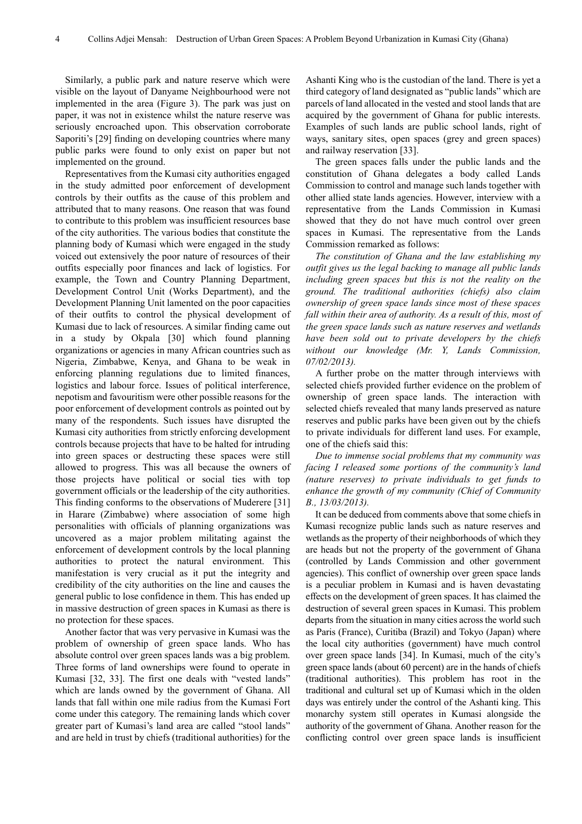Similarly, a public park and nature reserve which were visible on the layout of Danyame Neighbourhood were not implemented in the area (Figure 3). The park was just on paper, it was not in existence whilst the nature reserve was seriously encroached upon. This observation corroborate Saporiti's [29] finding on developing countries where many public parks were found to only exist on paper but not implemented on the ground.

Representatives from the Kumasi city authorities engaged in the study admitted poor enforcement of development controls by their outfits as the cause of this problem and attributed that to many reasons. One reason that was found to contribute to this problem was insufficient resources base of the city authorities. The various bodies that constitute the planning body of Kumasi which were engaged in the study voiced out extensively the poor nature of resources of their outfits especially poor finances and lack of logistics. For example, the Town and Country Planning Department, Development Control Unit (Works Department), and the Development Planning Unit lamented on the poor capacities of their outfits to control the physical development of Kumasi due to lack of resources. A similar finding came out in a study by Okpala [30] which found planning organizations or agencies in many African countries such as Nigeria, Zimbabwe, Kenya, and Ghana to be weak in enforcing planning regulations due to limited finances, logistics and labour force. Issues of political interference, nepotism and favouritism were other possible reasons for the poor enforcement of development controls as pointed out by many of the respondents. Such issues have disrupted the Kumasi city authorities from strictly enforcing development controls because projects that have to be halted for intruding into green spaces or destructing these spaces were still allowed to progress. This was all because the owners of those projects have political or social ties with top government officials or the leadership of the city authorities. This finding conforms to the observations of Muderere [31] in Harare (Zimbabwe) where association of some high personalities with officials of planning organizations was uncovered as a major problem militating against the enforcement of development controls by the local planning authorities to protect the natural environment. This manifestation is very crucial as it put the integrity and credibility of the city authorities on the line and causes the general public to lose confidence in them. This has ended up in massive destruction of green spaces in Kumasi as there is no protection for these spaces.

Another factor that was very pervasive in Kumasi was the problem of ownership of green space lands. Who has absolute control over green spaces lands was a big problem. Three forms of land ownerships were found to operate in Kumasi [32, 33]. The first one deals with "vested lands" which are lands owned by the government of Ghana. All lands that fall within one mile radius from the Kumasi Fort come under this category. The remaining lands which cover greater part of Kumasi's land area are called "stool lands" and are held in trust by chiefs (traditional authorities) for the

Ashanti King who is the custodian of the land. There is yet a third category of land designated as "public lands" which are parcels of land allocated in the vested and stool lands that are acquired by the government of Ghana for public interests. Examples of such lands are public school lands, right of ways, sanitary sites, open spaces (grey and green spaces) and railway reservation [33].

The green spaces falls under the public lands and the constitution of Ghana delegates a body called Lands Commission to control and manage such lands together with other allied state lands agencies. However, interview with a representative from the Lands Commission in Kumasi showed that they do not have much control over green spaces in Kumasi. The representative from the Lands Commission remarked as follows:

*The constitution of Ghana and the law establishing my outfit gives us the legal backing to manage all public lands including green spaces but this is not the reality on the ground. The traditional authorities (chiefs) also claim ownership of green space lands since most of these spaces*  fall within their area of authority. As a result of this, most of *the green space lands such as nature reserves and wetlands have been sold out to private developers by the chiefs without our knowledge (Mr. Y, Lands Commission, 07/02/2013).* 

A further probe on the matter through interviews with selected chiefs provided further evidence on the problem of ownership of green space lands. The interaction with selected chiefs revealed that many lands preserved as nature reserves and public parks have been given out by the chiefs to private individuals for different land uses. For example, one of the chiefs said this:

*Due to immense social problems that my community was facing I released some portions of the community's land (nature reserves) to private individuals to get funds to enhance the growth of my community (Chief of Community B., 13/03/2013).* 

It can be deduced from comments above that some chiefs in Kumasi recognize public lands such as nature reserves and wetlands as the property of their neighborhoods of which they are heads but not the property of the government of Ghana (controlled by Lands Commission and other government agencies). This conflict of ownership over green space lands is a peculiar problem in Kumasi and is haven devastating effects on the development of green spaces. It has claimed the destruction of several green spaces in Kumasi. This problem departs from the situation in many cities across the world such as Paris (France), Curitiba (Brazil) and Tokyo (Japan) where the local city authorities (government) have much control over green space lands [34]. In Kumasi, much of the city's green space lands (about 60 percent) are in the hands of chiefs (traditional authorities). This problem has root in the traditional and cultural set up of Kumasi which in the olden days was entirely under the control of the Ashanti king. This monarchy system still operates in Kumasi alongside the authority of the government of Ghana. Another reason for the conflicting control over green space lands is insufficient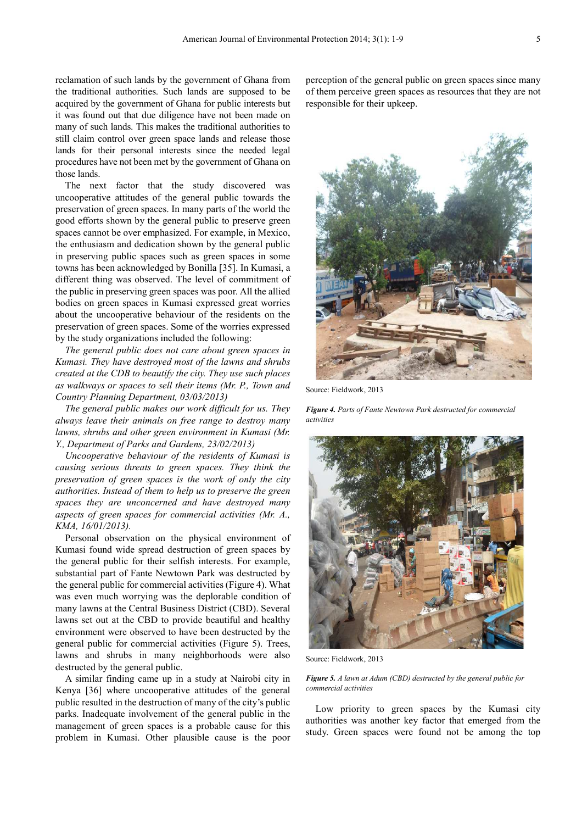reclamation of such lands by the government of Ghana from the traditional authorities. Such lands are supposed to be acquired by the government of Ghana for public interests but it was found out that due diligence have not been made on many of such lands. This makes the traditional authorities to still claim control over green space lands and release those lands for their personal interests since the needed legal procedures have not been met by the government of Ghana on those lands.

The next factor that the study discovered was uncooperative attitudes of the general public towards the preservation of green spaces. In many parts of the world the good efforts shown by the general public to preserve green spaces cannot be over emphasized. For example, in Mexico, the enthusiasm and dedication shown by the general public in preserving public spaces such as green spaces in some towns has been acknowledged by Bonilla [35]. In Kumasi, a different thing was observed. The level of commitment of the public in preserving green spaces was poor. All the allied bodies on green spaces in Kumasi expressed great worries about the uncooperative behaviour of the residents on the preservation of green spaces. Some of the worries expressed by the study organizations included the following:

*The general public does not care about green spaces in Kumasi. They have destroyed most of the lawns and shrubs created at the CDB to beautify the city. They use such places as walkways or spaces to sell their items (Mr. P., Town and Country Planning Department, 03/03/2013)* 

*The general public makes our work difficult for us. They always leave their animals on free range to destroy many lawns, shrubs and other green environment in Kumasi (Mr. Y., Department of Parks and Gardens, 23/02/2013)* 

*Uncooperative behaviour of the residents of Kumasi is causing serious threats to green spaces. They think the preservation of green spaces is the work of only the city authorities. Instead of them to help us to preserve the green spaces they are unconcerned and have destroyed many aspects of green spaces for commercial activities (Mr. A., KMA, 16/01/2013).* 

Personal observation on the physical environment of Kumasi found wide spread destruction of green spaces by the general public for their selfish interests. For example, substantial part of Fante Newtown Park was destructed by the general public for commercial activities (Figure 4). What was even much worrying was the deplorable condition of many lawns at the Central Business District (CBD). Several lawns set out at the CBD to provide beautiful and healthy environment were observed to have been destructed by the general public for commercial activities (Figure 5). Trees, lawns and shrubs in many neighborhoods were also destructed by the general public.

A similar finding came up in a study at Nairobi city in Kenya [36] where uncooperative attitudes of the general public resulted in the destruction of many of the city's public parks. Inadequate involvement of the general public in the management of green spaces is a probable cause for this problem in Kumasi. Other plausible cause is the poor perception of the general public on green spaces since many of them perceive green spaces as resources that they are not responsible for their upkeep.



Source: Fieldwork, 2013

*Figure 4. Parts of Fante Newtown Park destructed for commercial activities* 



Source: Fieldwork, 2013

*Figure 5. A lawn at Adum (CBD) destructed by the general public for commercial activities* 

Low priority to green spaces by the Kumasi city authorities was another key factor that emerged from the study. Green spaces were found not be among the top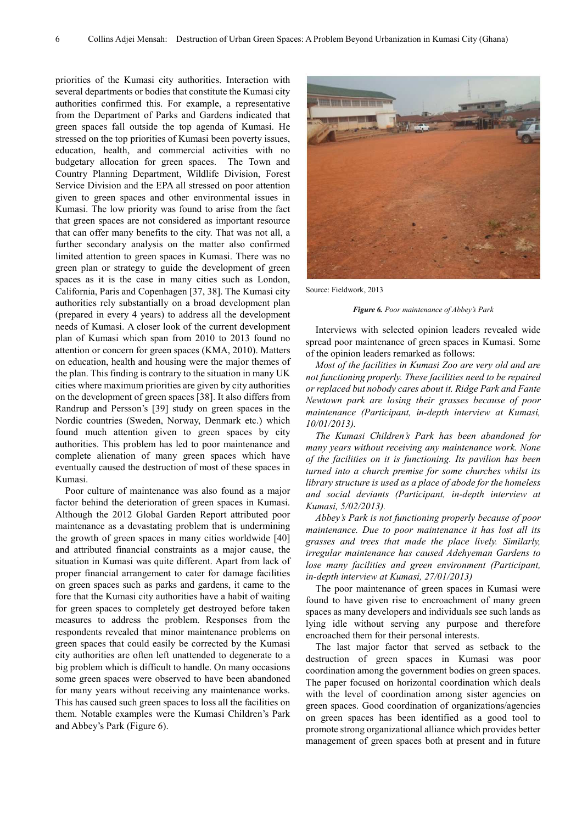priorities of the Kumasi city authorities. Interaction with several departments or bodies that constitute the Kumasi city authorities confirmed this. For example, a representative from the Department of Parks and Gardens indicated that green spaces fall outside the top agenda of Kumasi. He stressed on the top priorities of Kumasi been poverty issues, education, health, and commercial activities with no budgetary allocation for green spaces. The Town and Country Planning Department, Wildlife Division, Forest Service Division and the EPA all stressed on poor attention given to green spaces and other environmental issues in Kumasi. The low priority was found to arise from the fact that green spaces are not considered as important resource that can offer many benefits to the city. That was not all, a further secondary analysis on the matter also confirmed limited attention to green spaces in Kumasi. There was no green plan or strategy to guide the development of green spaces as it is the case in many cities such as London, California, Paris and Copenhagen [37, 38]. The Kumasi city authorities rely substantially on a broad development plan (prepared in every 4 years) to address all the development needs of Kumasi. A closer look of the current development plan of Kumasi which span from 2010 to 2013 found no attention or concern for green spaces (KMA, 2010). Matters on education, health and housing were the major themes of the plan. This finding is contrary to the situation in many UK cities where maximum priorities are given by city authorities on the development of green spaces [38]. It also differs from Randrup and Persson's [39] study on green spaces in the Nordic countries (Sweden, Norway, Denmark etc.) which found much attention given to green spaces by city authorities. This problem has led to poor maintenance and complete alienation of many green spaces which have eventually caused the destruction of most of these spaces in Kumasi.

Poor culture of maintenance was also found as a major factor behind the deterioration of green spaces in Kumasi. Although the 2012 Global Garden Report attributed poor maintenance as a devastating problem that is undermining the growth of green spaces in many cities worldwide [40] and attributed financial constraints as a major cause, the situation in Kumasi was quite different. Apart from lack of proper financial arrangement to cater for damage facilities on green spaces such as parks and gardens, it came to the fore that the Kumasi city authorities have a habit of waiting for green spaces to completely get destroyed before taken measures to address the problem. Responses from the respondents revealed that minor maintenance problems on green spaces that could easily be corrected by the Kumasi city authorities are often left unattended to degenerate to a big problem which is difficult to handle. On many occasions some green spaces were observed to have been abandoned for many years without receiving any maintenance works. This has caused such green spaces to loss all the facilities on them. Notable examples were the Kumasi Children's Park and Abbey's Park (Figure 6).



Source: Fieldwork, 2013

#### *Figure 6. Poor maintenance of Abbey's Park*

Interviews with selected opinion leaders revealed wide spread poor maintenance of green spaces in Kumasi. Some of the opinion leaders remarked as follows:

*Most of the facilities in Kumasi Zoo are very old and are not functioning properly. These facilities need to be repaired or replaced but nobody cares about it. Ridge Park and Fante Newtown park are losing their grasses because of poor maintenance (Participant, in-depth interview at Kumasi, 10/01/2013).* 

*The Kumasi Children's Park has been abandoned for many years without receiving any maintenance work. None of the facilities on it is functioning. Its pavilion has been turned into a church premise for some churches whilst its library structure is used as a place of abode for the homeless and social deviants (Participant, in-depth interview at Kumasi, 5/02/2013).* 

*Abbey's Park is not functioning properly because of poor maintenance. Due to poor maintenance it has lost all its grasses and trees that made the place lively. Similarly, irregular maintenance has caused Adehyeman Gardens to lose many facilities and green environment (Participant, in-depth interview at Kumasi, 27/01/2013)* 

The poor maintenance of green spaces in Kumasi were found to have given rise to encroachment of many green spaces as many developers and individuals see such lands as lying idle without serving any purpose and therefore encroached them for their personal interests.

The last major factor that served as setback to the destruction of green spaces in Kumasi was poor coordination among the government bodies on green spaces. The paper focused on horizontal coordination which deals with the level of coordination among sister agencies on green spaces. Good coordination of organizations/agencies on green spaces has been identified as a good tool to promote strong organizational alliance which provides better management of green spaces both at present and in future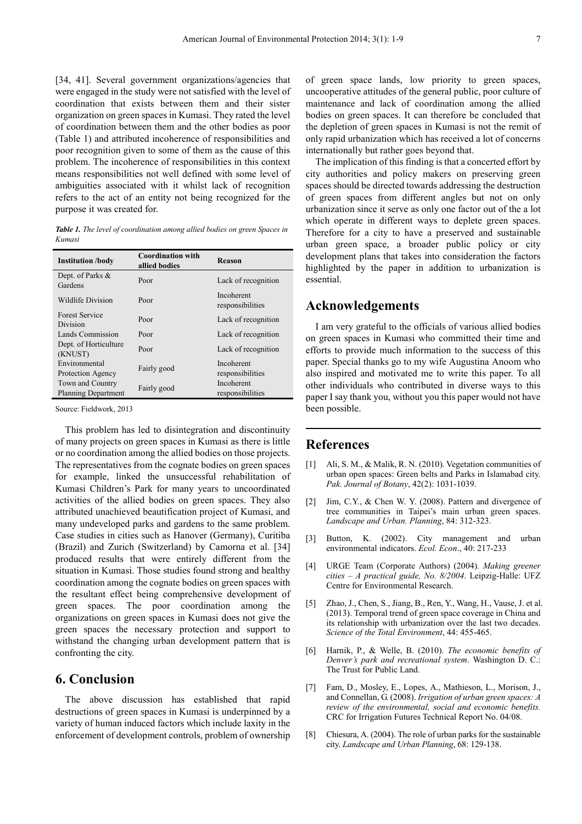[34, 41]. Several government organizations/agencies that were engaged in the study were not satisfied with the level of coordination that exists between them and their sister organization on green spaces in Kumasi. They rated the level of coordination between them and the other bodies as poor (Table 1) and attributed incoherence of responsibilities and poor recognition given to some of them as the cause of this problem. The incoherence of responsibilities in this context means responsibilities not well defined with some level of ambiguities associated with it whilst lack of recognition refers to the act of an entity not being recognized for the purpose it was created for.

*Table 1. The level of coordination among allied bodies on green Spaces in Kumasi* 

| <b>Institution</b> /body                       | <b>Coordination with</b><br>allied bodies | Reason                         |
|------------------------------------------------|-------------------------------------------|--------------------------------|
| Dept. of Parks &<br>Gardens                    | Poor                                      | Lack of recognition            |
| Wildlife Division                              | Poor                                      | Incoherent<br>responsibilities |
| <b>Forest Service</b><br>Division              | Poor                                      | Lack of recognition            |
| Lands Commission                               | Poor                                      | Lack of recognition            |
| Dept. of Horticulture<br>(KNUST)               | Poor                                      | Lack of recognition            |
| Environmental<br>Protection Agency             | Fairly good                               | Incoherent<br>responsibilities |
| Town and Country<br><b>Planning Department</b> | Fairly good                               | Incoherent<br>responsibilities |

Source: Fieldwork, 2013

This problem has led to disintegration and discontinuity of many projects on green spaces in Kumasi as there is little or no coordination among the allied bodies on those projects. The representatives from the cognate bodies on green spaces for example, linked the unsuccessful rehabilitation of Kumasi Children's Park for many years to uncoordinated activities of the allied bodies on green spaces. They also attributed unachieved beautification project of Kumasi, and many undeveloped parks and gardens to the same problem. Case studies in cities such as Hanover (Germany), Curitiba (Brazil) and Zurich (Switzerland) by Camorna et al. [34] produced results that were entirely different from the situation in Kumasi. Those studies found strong and healthy coordination among the cognate bodies on green spaces with the resultant effect being comprehensive development of green spaces. The poor coordination among the organizations on green spaces in Kumasi does not give the green spaces the necessary protection and support to withstand the changing urban development pattern that is confronting the city.

# **6. Conclusion**

The above discussion has established that rapid destructions of green spaces in Kumasi is underpinned by a variety of human induced factors which include laxity in the enforcement of development controls, problem of ownership

of green space lands, low priority to green spaces, uncooperative attitudes of the general public, poor culture of maintenance and lack of coordination among the allied bodies on green spaces. It can therefore be concluded that the depletion of green spaces in Kumasi is not the remit of only rapid urbanization which has received a lot of concerns internationally but rather goes beyond that.

The implication of this finding is that a concerted effort by city authorities and policy makers on preserving green spaces should be directed towards addressing the destruction of green spaces from different angles but not on only urbanization since it serve as only one factor out of the a lot which operate in different ways to deplete green spaces. Therefore for a city to have a preserved and sustainable urban green space, a broader public policy or city development plans that takes into consideration the factors highlighted by the paper in addition to urbanization is essential.

### **Acknowledgements**

I am very grateful to the officials of various allied bodies on green spaces in Kumasi who committed their time and efforts to provide much information to the success of this paper. Special thanks go to my wife Augustina Anoom who also inspired and motivated me to write this paper. To all other individuals who contributed in diverse ways to this paper I say thank you, without you this paper would not have been possible.

#### **References**

- [1] Ali, S. M., & Malik, R. N. (2010). Vegetation communities of urban open spaces: Green belts and Parks in Islamabad city. *Pak. Journal of Botany*, 42(2): 1031-1039.
- [2] Jim, C.Y., & Chen W. Y. (2008). Pattern and divergence of tree communities in Taipei's main urban green spaces. *Landscape and Urban. Planning*, 84: 312-323.
- [3] Button, K. (2002). City management and urban environmental indicators. *Ecol. Econ*., 40: 217-233
- [4] URGE Team (Corporate Authors) (2004). *Making greener cities – A practical guide, No. 8/2004*. Leipzig-Halle: UFZ Centre for Environmental Research.
- [5] Zhao, J., Chen, S., Jiang, B., Ren, Y., Wang, H., Vause, J. et al. (2013). Temporal trend of green space coverage in China and its relationship with urbanization over the last two decades. *Science of the Total Environment*, 44: 455-465.
- [6] Harnik, P., & Welle, B. (2010). *The economic benefits of Denver's park and recreational system*. Washington D. C.: The Trust for Public Land.
- [7] Fam, D., Mosley, E., Lopes, A., Mathieson, L., Morison, J., and Connellan, G. (2008). *Irrigation of urban green spaces: A review of the environmental, social and economic benefits.* CRC for Irrigation Futures Technical Report No. 04/08.
- [8] Chiesura, A. (2004). The role of urban parks for the sustainable city. *Landscape and Urban Planning*, 68: 129-138.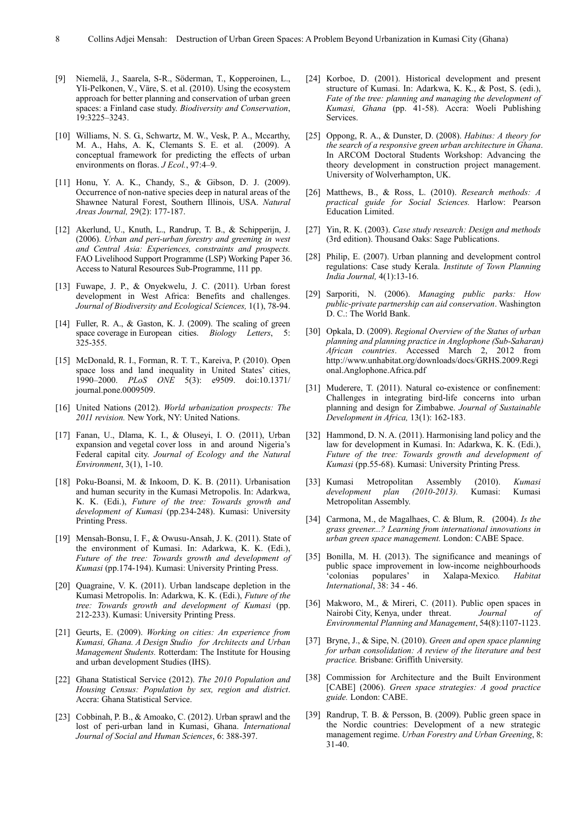- [9] Niemelä, J., Saarela, S-R., Söderman, T., Kopperoinen, L., Yli-Pelkonen, V., Väre, S. et al. (2010). Using the ecosystem approach for better planning and conservation of urban green spaces: a Finland case study. *Biodiversity and Conservation*, 19:3225–3243.
- [10] Williams, N. S. G., Schwartz, M. W., Vesk, P. A., Mccarthy, M. A., Hahs, A. K, Clemants S. E. et al. (2009). A conceptual framework for predicting the effects of urban environments on floras. *J Ecol.*, 97:4–9.
- [11] Honu, Y. A. K., Chandy, S., & Gibson, D. J. (2009). Occurrence of non-native species deep in natural areas of the Shawnee Natural Forest, Southern Illinois, USA. *Natural Areas Journal,* 29(2): 177-187.
- [12] Akerlund, U., Knuth, L., Randrup, T. B., & Schipperijn, J. (2006). *Urban and peri-urban forestry and greening in west and Central Asia: Experiences, constraints and prospects.* FAO Livelihood Support Programme (LSP) Working Paper 36. Access to Natural Resources Sub-Programme, 111 pp.
- [13] Fuwape, J. P., & Onyekwelu, J. C. (2011). Urban forest development in West Africa: Benefits and challenges. *Journal of Biodiversity and Ecological Sciences,* 1(1), 78-94.
- [14] Fuller, R. A., & Gaston, K. J. (2009). The scaling of green space coverage in European cities. *Biology Letters*, 5: 325-355.
- [15] McDonald, R. I., Forman, R. T. T., Kareiva, P. (2010). Open space loss and land inequality in United States' cities, 1990–2000. *PLoS ONE* 5(3): e9509. doi:10.1371/ journal.pone.0009509.
- [16] United Nations (2012). *World urbanization prospects: The 2011 revision.* New York, NY: United Nations.
- [17] Fanan, U., Dlama, K. I., & Oluseyi, I. O. (2011), Urban expansion and vegetal cover loss in and around Nigeria's Federal capital city. *Journal of Ecology and the Natural Environment*, 3(1), 1-10.
- [18] Poku-Boansi, M. & Inkoom, D. K. B. (2011). Urbanisation and human security in the Kumasi Metropolis. In: Adarkwa, K. K. (Edi.), *Future of the tree: Towards growth and development of Kumasi* (pp.234-248). Kumasi: University Printing Press.
- [19] Mensah-Bonsu, I. F., & Owusu-Ansah, J. K. (2011). State of the environment of Kumasi. In: Adarkwa, K. K. (Edi.), *Future of the tree: Towards growth and development of Kumasi* (pp.174-194). Kumasi: University Printing Press.
- [20] Quagraine, V. K. (2011). Urban landscape depletion in the Kumasi Metropolis. In: Adarkwa, K. K. (Edi.), *Future of the tree: Towards growth and development of Kumasi* (pp. 212-233). Kumasi: University Printing Press.
- [21] Geurts, E. (2009). *Working on cities: An experience from Kumasi, Ghana. A Design Studio for Architects and Urban Management Students.* Rotterdam: The Institute for Housing and urban development Studies (IHS).
- [22] Ghana Statistical Service (2012). *The 2010 Population and Housing Census: Population by sex, region and district*. Accra: Ghana Statistical Service.
- [23] Cobbinah, P. B., & Amoako, C. (2012). Urban sprawl and the lost of peri-urban land in Kumasi, Ghana. *International Journal of Social and Human Sciences*, 6: 388-397.
- [24] Korboe, D. (2001). Historical development and present structure of Kumasi. In: Adarkwa, K. K., & Post, S. (edi.), *Fate of the tree: planning and managing the development of Kumasi, Ghana* (pp. 41-58). Accra: Woeli Publishing Services.
- [25] Oppong, R. A., & Dunster, D. (2008). *Habitus: A theory for the search of a responsive green urban architecture in Ghana*. In ARCOM Doctoral Students Workshop: Advancing the theory development in construction project management. University of Wolverhampton, UK.
- [26] Matthews, B., & Ross, L. (2010). *Research methods: A practical guide for Social Sciences.* Harlow: Pearson Education Limited.
- [27] Yin, R. K. (2003). *Case study research: Design and methods* (3rd edition). Thousand Oaks: Sage Publications.
- [28] Philip, E. (2007). Urban planning and development control regulations: Case study Kerala. *Institute of Town Planning India Journal,* 4(1):13-16.
- [29] Sarporiti, N. (2006). *Managing public parks: How public-private partnership can aid conservation*. Washington D. C.: The World Bank.
- [30] Opkala, D. (2009). *Regional Overview of the Status of urban planning and planning practice in Anglophone (Sub-Saharan) African countries*. Accessed March 2, 2012 from http://www.unhabitat.org/downloads/docs/GRHS.2009.Regi onal.Anglophone.Africa.pdf
- [31] Muderere, T. (2011). Natural co-existence or confinement: Challenges in integrating bird-life concerns into urban planning and design for Zimbabwe. *Journal of Sustainable Development in Africa,* 13(1): 162-183.
- [32] Hammond, D. N. A. (2011). Harmonising land policy and the law for development in Kumasi. In: Adarkwa, K. K. (Edi.), *Future of the tree: Towards growth and development of Kumasi* (pp.55-68). Kumasi: University Printing Press.
- [33] Kumasi Metropolitan Assembly (2010). *Kumasi development plan (2010-2013).* Kumasi: Kumasi Metropolitan Assembly.
- [34] Carmona, M., de Magalhaes, C. & Blum, R. (2004). *Is the grass greener...? Learning from international innovations in urban green space management.* London: CABE Space.
- [35] Bonilla, M. H. (2013). The significance and meanings of public space improvement in low-income neighbourhoods 'colonias populares' in Xalapa-Mexico*. Habitat International*, 38: 34 - 46.
- [36] Makworo, M., & Mireri, C. (2011). Public open spaces in Nairobi City, Kenya, under threat. *Journal of Environmental Planning and Management*, 54(8):1107-1123.
- [37] Bryne, J., & Sipe, N. (2010). *Green and open space planning for urban consolidation: A review of the literature and best practice.* Brisbane: Griffith University.
- [38] Commission for Architecture and the Built Environment [CABE] (2006). *Green space strategies: A good practice guide.* London: CABE.
- [39] Randrup, T. B. & Persson, B. (2009). Public green space in the Nordic countries: Development of a new strategic management regime. *Urban Forestry and Urban Greening*, 8: 31-40.